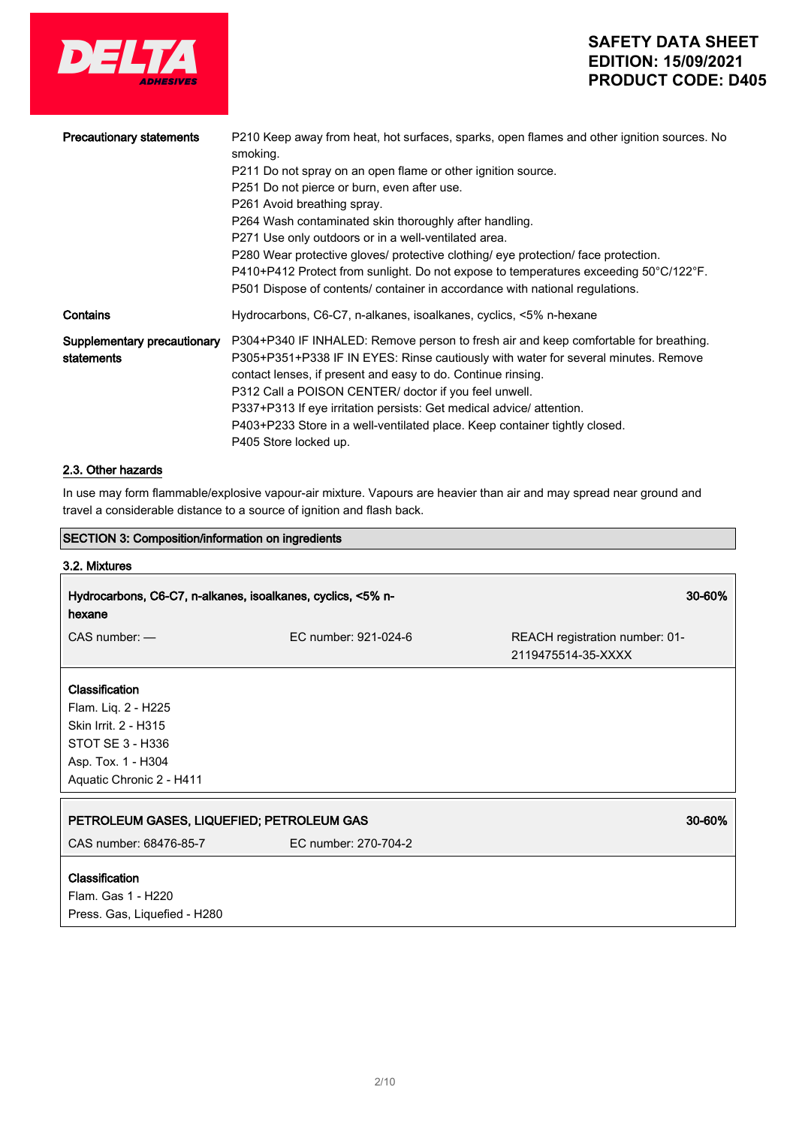

| <b>Precautionary statements</b> | P210 Keep away from heat, hot surfaces, sparks, open flames and other ignition sources. No<br>smoking.       |
|---------------------------------|--------------------------------------------------------------------------------------------------------------|
|                                 | P211 Do not spray on an open flame or other ignition source.                                                 |
|                                 | P251 Do not pierce or burn, even after use.                                                                  |
|                                 | P261 Avoid breathing spray.                                                                                  |
|                                 | P264 Wash contaminated skin thoroughly after handling.                                                       |
|                                 | P271 Use only outdoors or in a well-ventilated area.                                                         |
|                                 | P280 Wear protective gloves/ protective clothing/ eye protection/ face protection.                           |
|                                 | $P410+P412$ Protect from sunlight. Do not expose to temperatures exceeding 50 $^{\circ}$ C/122 $^{\circ}$ F. |
|                                 | P501 Dispose of contents/ container in accordance with national regulations.                                 |
| Contains                        | Hydrocarbons, C6-C7, n-alkanes, isoalkanes, cyclics, <5% n-hexane                                            |
| Supplementary precautionary     | P304+P340 IF INHALED: Remove person to fresh air and keep comfortable for breathing.                         |
| statements                      | P305+P351+P338 IF IN EYES: Rinse cautiously with water for several minutes. Remove                           |
|                                 | contact lenses, if present and easy to do. Continue rinsing.                                                 |
|                                 | P312 Call a POISON CENTER/ doctor if you feel unwell.                                                        |
|                                 | P337+P313 If eye irritation persists: Get medical advice/ attention.                                         |
|                                 | P403+P233 Store in a well-ventilated place. Keep container tightly closed.                                   |
|                                 | P405 Store locked up.                                                                                        |

## 2.3. Other hazards

In use may form flammable/explosive vapour-air mixture. Vapours are heavier than air and may spread near ground and travel a considerable distance to a source of ignition and flash back.

| <b>SECTION 3: Composition/information on ingredients</b>    |                      |                                |
|-------------------------------------------------------------|----------------------|--------------------------------|
| 3.2. Mixtures                                               |                      |                                |
| Hydrocarbons, C6-C7, n-alkanes, isoalkanes, cyclics, <5% n- |                      | 30-60%                         |
| hexane                                                      |                      |                                |
| $CAS$ number: $-$                                           | FC number: 921-024-6 | REACH registration number: 01- |
|                                                             |                      | 2119475514-35-XXXX             |
| Classification                                              |                      |                                |
| Flam. Liq. 2 - H225                                         |                      |                                |
| Skin Irrit. 2 - H315                                        |                      |                                |
| STOT SE 3 - H336                                            |                      |                                |
| Asp. Tox. 1 - H304                                          |                      |                                |
| Aquatic Chronic 2 - H411                                    |                      |                                |
|                                                             |                      |                                |
| PETROLEUM GASES, LIQUEFIED; PETROLEUM GAS                   |                      | 30-60%                         |
| CAS number: 68476-85-7                                      | EC number: 270-704-2 |                                |
| Classification                                              |                      |                                |
| Flam. Gas 1 - H220                                          |                      |                                |
| Press. Gas, Liquefied - H280                                |                      |                                |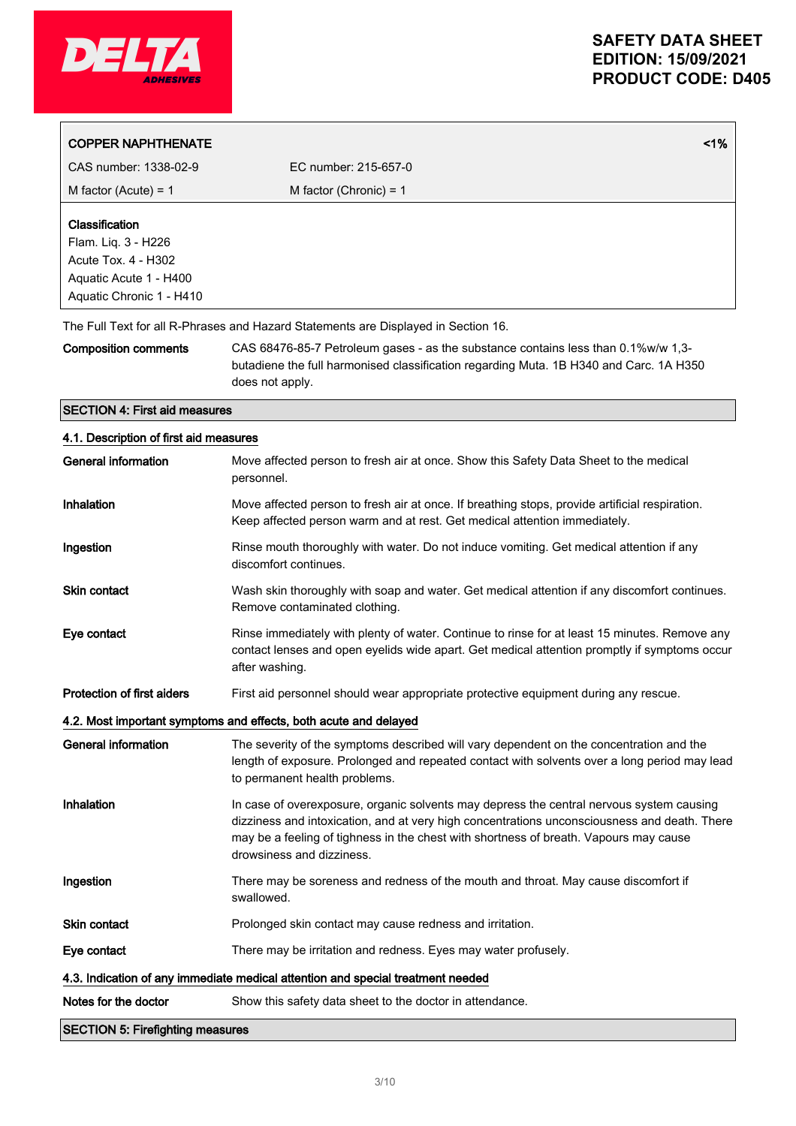

| <b>COPPER NAPHTHENATE</b>              |                                                                                                                                                                                                | 1% |
|----------------------------------------|------------------------------------------------------------------------------------------------------------------------------------------------------------------------------------------------|----|
|                                        |                                                                                                                                                                                                |    |
| CAS number: 1338-02-9                  | FC number: 215-657-0                                                                                                                                                                           |    |
| M factor (Acute) = $1$                 | M factor (Chronic) = $1$                                                                                                                                                                       |    |
| Classification                         |                                                                                                                                                                                                |    |
| Flam. Liq. 3 - H226                    |                                                                                                                                                                                                |    |
| Acute Tox. 4 - H302                    |                                                                                                                                                                                                |    |
| Aquatic Acute 1 - H400                 |                                                                                                                                                                                                |    |
| Aquatic Chronic 1 - H410               |                                                                                                                                                                                                |    |
|                                        | The Full Text for all R-Phrases and Hazard Statements are Displayed in Section 16.                                                                                                             |    |
| <b>Composition comments</b>            | CAS 68476-85-7 Petroleum gases - as the substance contains less than 0.1%w/w 1,3-<br>butadiene the full harmonised classification regarding Muta. 1B H340 and Carc. 1A H350<br>does not apply. |    |
| <b>SECTION 4: First aid measures</b>   |                                                                                                                                                                                                |    |
| 4.1. Description of first aid measures |                                                                                                                                                                                                |    |
| General information                    | Move affected person to fresh air at once. Show this Safety Data Sheet to the medical<br>personnel.                                                                                            |    |
| Inhalation                             | Move affected person to fresh air at once. If breathing stops, provide artificial respiration.<br>Keep affected person warm and at rest. Get medical attention immediately.                    |    |

Ingestion **Rinse mouth thoroughly with water.** Do not induce vomiting. Get medical attention if any discomfort continues.

- Skin contact Wash skin thoroughly with soap and water. Get medical attention if any discomfort continues. Remove contaminated clothing.
- Eye contact **Rinse immediately with plenty of water.** Continue to rinse for at least 15 minutes. Remove any contact lenses and open eyelids wide apart. Get medical attention promptly if symptoms occur after washing.
- Protection of first aiders First aid personnel should wear appropriate protective equipment during any rescue.

### 4.2. Most important symptoms and effects, both acute and delayed

| <b>SECTION 5: Firefighting measures</b> |                                                                                                                                                                                                                                                                                                                |
|-----------------------------------------|----------------------------------------------------------------------------------------------------------------------------------------------------------------------------------------------------------------------------------------------------------------------------------------------------------------|
| Notes for the doctor                    | Show this safety data sheet to the doctor in attendance.                                                                                                                                                                                                                                                       |
|                                         | 4.3. Indication of any immediate medical attention and special treatment needed                                                                                                                                                                                                                                |
| Eye contact                             | There may be irritation and redness. Eyes may water profusely.                                                                                                                                                                                                                                                 |
| <b>Skin contact</b>                     | Prolonged skin contact may cause redness and irritation.                                                                                                                                                                                                                                                       |
| Ingestion                               | There may be soreness and redness of the mouth and throat. May cause discomfort if<br>swallowed.                                                                                                                                                                                                               |
| Inhalation                              | In case of overexposure, organic solvents may depress the central nervous system causing<br>dizziness and intoxication, and at very high concentrations unconsciousness and death. There<br>may be a feeling of tighness in the chest with shortness of breath. Vapours may cause<br>drowsiness and dizziness. |
| General information                     | The severity of the symptoms described will vary dependent on the concentration and the<br>length of exposure. Prolonged and repeated contact with solvents over a long period may lead<br>to permanent health problems.                                                                                       |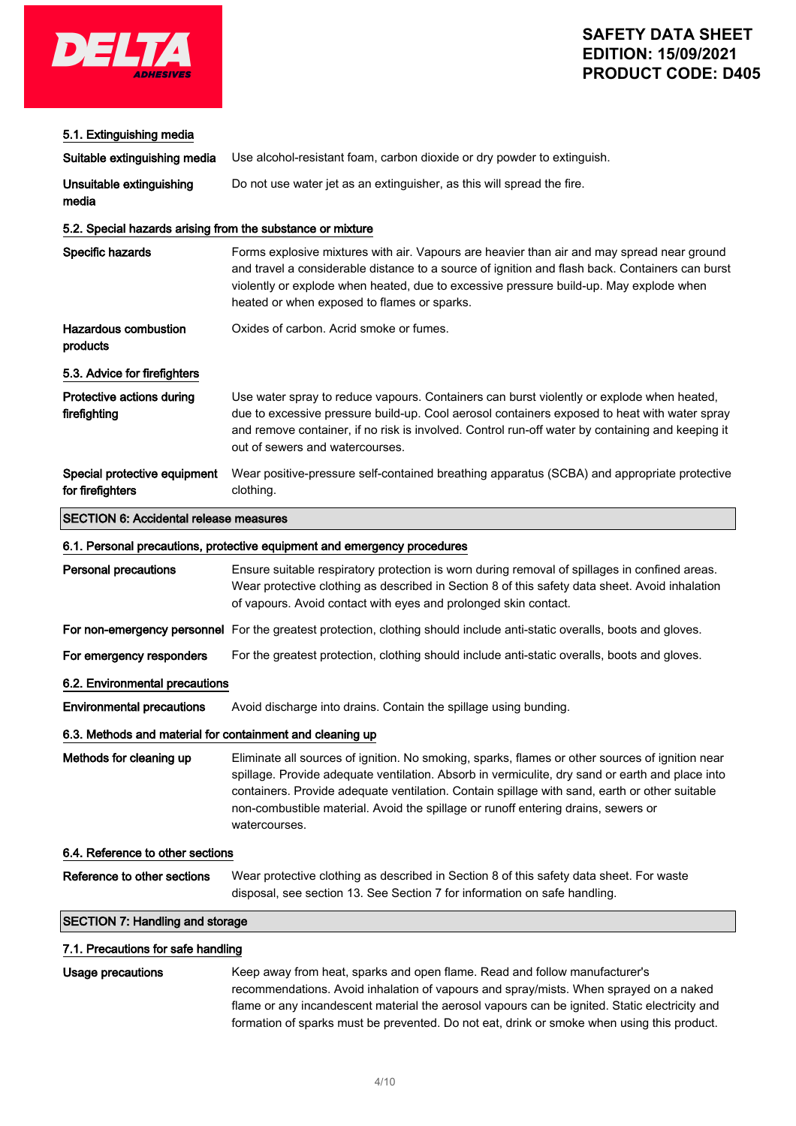

| 5.1. Extinguishing media                                   |                                                                                                                                                                                                                                                                                                                                                                                                           |
|------------------------------------------------------------|-----------------------------------------------------------------------------------------------------------------------------------------------------------------------------------------------------------------------------------------------------------------------------------------------------------------------------------------------------------------------------------------------------------|
| Suitable extinguishing media                               | Use alcohol-resistant foam, carbon dioxide or dry powder to extinguish.                                                                                                                                                                                                                                                                                                                                   |
| Unsuitable extinguishing<br>media                          | Do not use water jet as an extinguisher, as this will spread the fire.                                                                                                                                                                                                                                                                                                                                    |
| 5.2. Special hazards arising from the substance or mixture |                                                                                                                                                                                                                                                                                                                                                                                                           |
| Specific hazards                                           | Forms explosive mixtures with air. Vapours are heavier than air and may spread near ground<br>and travel a considerable distance to a source of ignition and flash back. Containers can burst<br>violently or explode when heated, due to excessive pressure build-up. May explode when<br>heated or when exposed to flames or sparks.                                                                    |
| Hazardous combustion<br>products                           | Oxides of carbon. Acrid smoke or fumes.                                                                                                                                                                                                                                                                                                                                                                   |
| 5.3. Advice for firefighters                               |                                                                                                                                                                                                                                                                                                                                                                                                           |
| Protective actions during<br>firefighting                  | Use water spray to reduce vapours. Containers can burst violently or explode when heated,<br>due to excessive pressure build-up. Cool aerosol containers exposed to heat with water spray<br>and remove container, if no risk is involved. Control run-off water by containing and keeping it<br>out of sewers and watercourses.                                                                          |
| Special protective equipment<br>for firefighters           | Wear positive-pressure self-contained breathing apparatus (SCBA) and appropriate protective<br>clothing.                                                                                                                                                                                                                                                                                                  |
| <b>SECTION 6: Accidental release measures</b>              |                                                                                                                                                                                                                                                                                                                                                                                                           |
|                                                            | 6.1. Personal precautions, protective equipment and emergency procedures                                                                                                                                                                                                                                                                                                                                  |
| <b>Personal precautions</b>                                | Ensure suitable respiratory protection is worn during removal of spillages in confined areas.<br>Wear protective clothing as described in Section 8 of this safety data sheet. Avoid inhalation<br>of vapours. Avoid contact with eyes and prolonged skin contact.                                                                                                                                        |
|                                                            | For non-emergency personnel For the greatest protection, clothing should include anti-static overalls, boots and gloves.                                                                                                                                                                                                                                                                                  |
| For emergency responders                                   | For the greatest protection, clothing should include anti-static overalls, boots and gloves.                                                                                                                                                                                                                                                                                                              |
| 6.2. Environmental precautions                             |                                                                                                                                                                                                                                                                                                                                                                                                           |
| <b>Environmental precautions</b>                           | Avoid discharge into drains. Contain the spillage using bunding.                                                                                                                                                                                                                                                                                                                                          |
| 6.3. Methods and material for containment and cleaning up  |                                                                                                                                                                                                                                                                                                                                                                                                           |
| Methods for cleaning up                                    | Eliminate all sources of ignition. No smoking, sparks, flames or other sources of ignition near<br>spillage. Provide adequate ventilation. Absorb in vermiculite, dry sand or earth and place into<br>containers. Provide adequate ventilation. Contain spillage with sand, earth or other suitable<br>non-combustible material. Avoid the spillage or runoff entering drains, sewers or<br>watercourses. |
| 6.4. Reference to other sections                           |                                                                                                                                                                                                                                                                                                                                                                                                           |
| Reference to other sections                                | Wear protective clothing as described in Section 8 of this safety data sheet. For waste<br>disposal, see section 13. See Section 7 for information on safe handling.                                                                                                                                                                                                                                      |
| <b>SECTION 7: Handling and storage</b>                     |                                                                                                                                                                                                                                                                                                                                                                                                           |
| 7.1. Precautions for safe handling                         |                                                                                                                                                                                                                                                                                                                                                                                                           |
| <b>Usage precautions</b>                                   | Keep away from heat, sparks and open flame. Read and follow manufacturer's                                                                                                                                                                                                                                                                                                                                |

recommendations. Avoid inhalation of vapours and spray/mists. When sprayed on a naked flame or any incandescent material the aerosol vapours can be ignited. Static electricity and formation of sparks must be prevented. Do not eat, drink or smoke when using this product.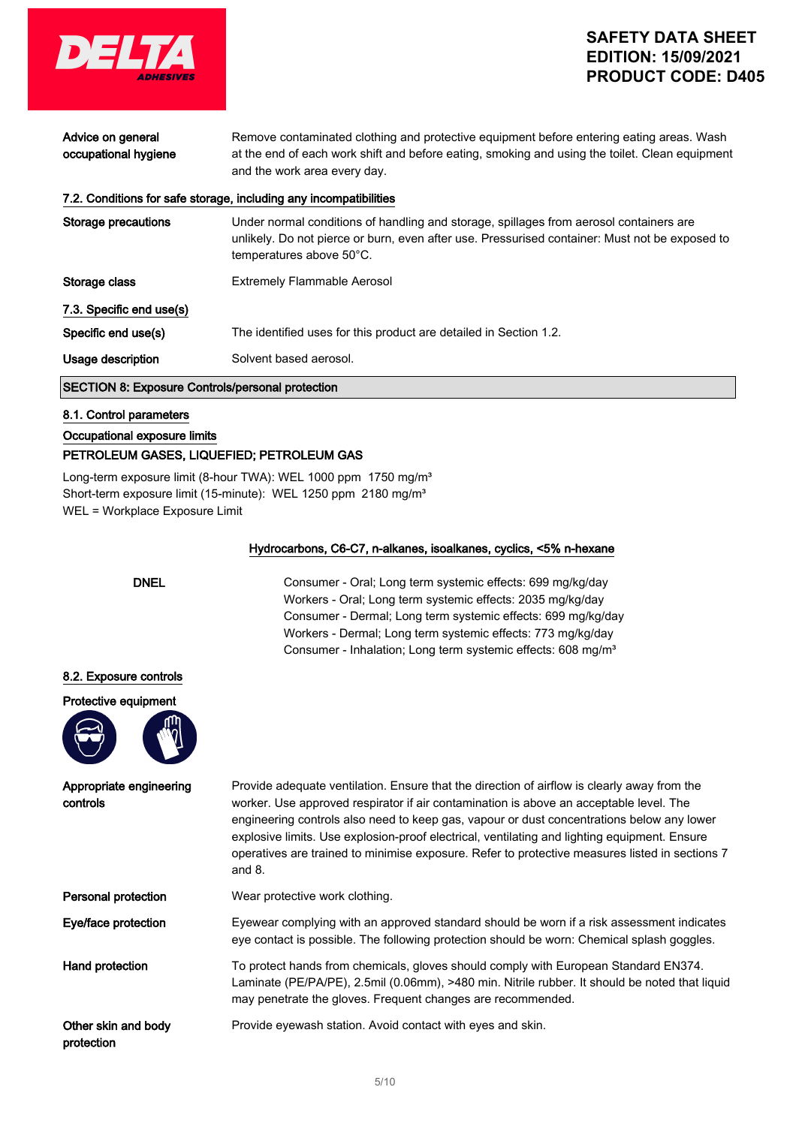

| Advice on general<br>occupational hygiene               | Remove contaminated clothing and protective equipment before entering eating areas. Wash<br>at the end of each work shift and before eating, smoking and using the toilet. Clean equipment<br>and the work area every day. |
|---------------------------------------------------------|----------------------------------------------------------------------------------------------------------------------------------------------------------------------------------------------------------------------------|
|                                                         | 7.2. Conditions for safe storage, including any incompatibilities                                                                                                                                                          |
| Storage precautions                                     | Under normal conditions of handling and storage, spillages from aerosol containers are<br>unlikely. Do not pierce or burn, even after use. Pressurised container: Must not be exposed to<br>temperatures above 50°C.       |
| Storage class                                           | <b>Extremely Flammable Aerosol</b>                                                                                                                                                                                         |
| 7.3. Specific end use(s)                                |                                                                                                                                                                                                                            |
| Specific end use(s)                                     | The identified uses for this product are detailed in Section 1.2.                                                                                                                                                          |
| Usage description                                       | Solvent based aerosol.                                                                                                                                                                                                     |
| <b>SECTION 8: Exposure Controls/personal protection</b> |                                                                                                                                                                                                                            |

### 8.1. Control parameters

Occupational exposure limits

## PETROLEUM GASES, LIQUEFIED; PETROLEUM GAS

Long-term exposure limit (8-hour TWA): WEL 1000 ppm 1750 mg/m<sup>3</sup> Short-term exposure limit (15-minute): WEL 1250 ppm 2180 mg/m<sup>3</sup> WEL = Workplace Exposure Limit

### Hydrocarbons, C6-C7, n-alkanes, isoalkanes, cyclics, <5% n-hexane



DNEL Consumer - Oral; Long term systemic effects: 699 mg/kg/day Workers - Oral; Long term systemic effects: 2035 mg/kg/day Consumer - Dermal; Long term systemic effects: 699 mg/kg/day Workers - Dermal; Long term systemic effects: 773 mg/kg/day Consumer - Inhalation; Long term systemic effects: 608 mg/m<sup>3</sup>

### 8.2. Exposure controls





Appropriate engineering controls

Provide adequate ventilation. Ensure that the direction of airflow is clearly away from the worker. Use approved respirator if air contamination is above an acceptable level. The engineering controls also need to keep gas, vapour or dust concentrations below any lower explosive limits. Use explosion-proof electrical, ventilating and lighting equipment. Ensure operatives are trained to minimise exposure. Refer to protective measures listed in sections 7 and 8.

Personal protection Wear protective work clothing.

Eye/face protection Eyewear complying with an approved standard should be worn if a risk assessment indicates eye contact is possible. The following protection should be worn: Chemical splash goggles.

Hand protection To protect hands from chemicals, gloves should comply with European Standard EN374. Laminate (PE/PA/PE), 2.5mil (0.06mm), >480 min. Nitrile rubber. It should be noted that liquid may penetrate the gloves. Frequent changes are recommended.

Other skin and body protection

Provide eyewash station. Avoid contact with eyes and skin.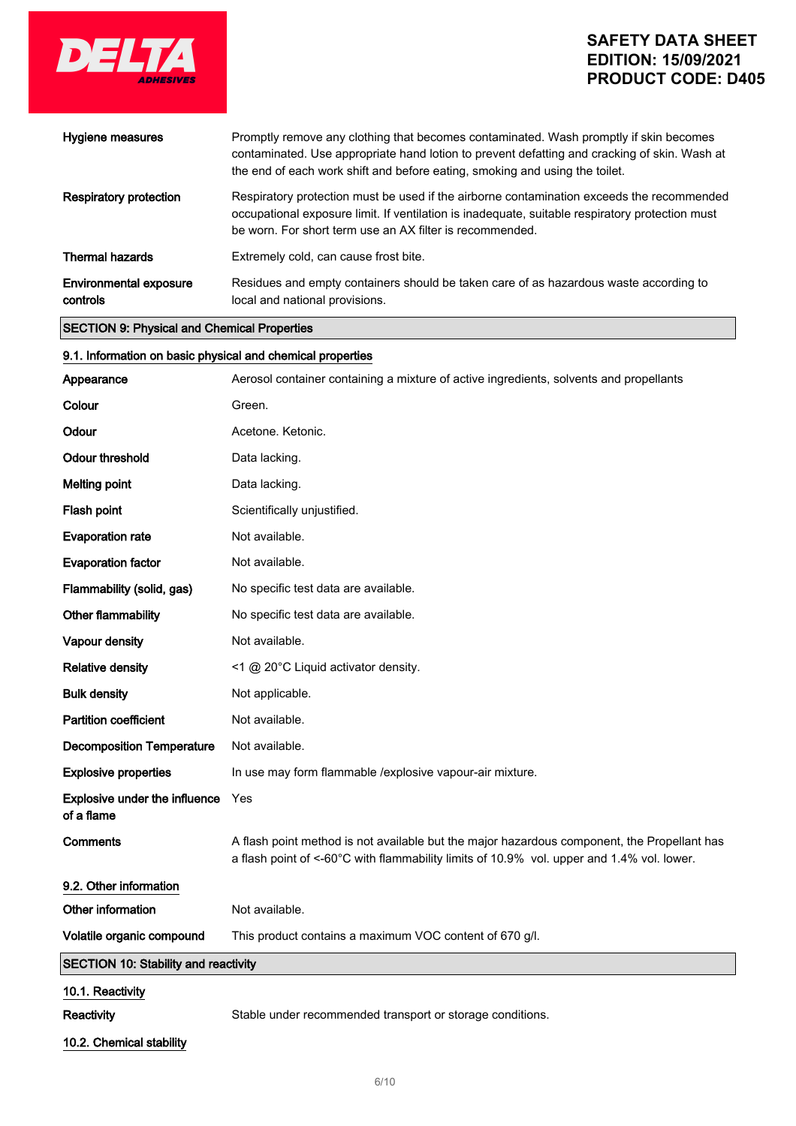

| Hygiene measures                                           | Promptly remove any clothing that becomes contaminated. Wash promptly if skin becomes<br>contaminated. Use appropriate hand lotion to prevent defatting and cracking of skin. Wash at<br>the end of each work shift and before eating, smoking and using the toilet. |
|------------------------------------------------------------|----------------------------------------------------------------------------------------------------------------------------------------------------------------------------------------------------------------------------------------------------------------------|
| <b>Respiratory protection</b>                              | Respiratory protection must be used if the airborne contamination exceeds the recommended<br>occupational exposure limit. If ventilation is inadequate, suitable respiratory protection must<br>be worn. For short term use an AX filter is recommended.             |
| <b>Thermal hazards</b>                                     | Extremely cold, can cause frost bite.                                                                                                                                                                                                                                |
| Environmental exposure<br>controls                         | Residues and empty containers should be taken care of as hazardous waste according to<br>local and national provisions.                                                                                                                                              |
| <b>SECTION 9: Physical and Chemical Properties</b>         |                                                                                                                                                                                                                                                                      |
| 9.1. Information on basic physical and chemical properties |                                                                                                                                                                                                                                                                      |
| Appearance                                                 | Aerosol container containing a mixture of active ingredients, solvents and propellants                                                                                                                                                                               |
| Colour                                                     | Green.                                                                                                                                                                                                                                                               |
| Odour                                                      | Acetone. Ketonic.                                                                                                                                                                                                                                                    |
| <b>Odour threshold</b>                                     | Data lacking.                                                                                                                                                                                                                                                        |
| <b>Melting point</b>                                       | Data lacking.                                                                                                                                                                                                                                                        |
| Flash point                                                | Scientifically unjustified.                                                                                                                                                                                                                                          |
| <b>Evaporation rate</b>                                    | Not available.                                                                                                                                                                                                                                                       |
| <b>Evaporation factor</b>                                  | Not available.                                                                                                                                                                                                                                                       |
| Flammability (solid, gas)                                  | No specific test data are available.                                                                                                                                                                                                                                 |
| Other flammability                                         | No specific test data are available.                                                                                                                                                                                                                                 |
| <b>Vapour density</b>                                      | Not available.                                                                                                                                                                                                                                                       |
| <b>Relative density</b>                                    | <1 @ 20°C Liquid activator density.                                                                                                                                                                                                                                  |
| <b>Bulk density</b>                                        | Not applicable.                                                                                                                                                                                                                                                      |
| <b>Partition coefficient</b>                               | Not available.                                                                                                                                                                                                                                                       |
| <b>Decomposition Temperature</b>                           | Not available.                                                                                                                                                                                                                                                       |
| <b>Explosive properties</b>                                | In use may form flammable /explosive vapour-air mixture.                                                                                                                                                                                                             |
| <b>Explosive under the influence</b><br>of a flame         | Yes                                                                                                                                                                                                                                                                  |
| Comments                                                   | A flash point method is not available but the major hazardous component, the Propellant has<br>a flash point of <-60°C with flammability limits of 10.9% vol. upper and 1.4% vol. lower.                                                                             |
| 9.2. Other information                                     |                                                                                                                                                                                                                                                                      |
| Other information                                          | Not available.                                                                                                                                                                                                                                                       |
| Volatile organic compound                                  | This product contains a maximum VOC content of 670 g/l.                                                                                                                                                                                                              |
| <b>SECTION 10: Stability and reactivity</b>                |                                                                                                                                                                                                                                                                      |
| 10.1. Reactivity                                           |                                                                                                                                                                                                                                                                      |

 $\begin{array}{c} \hline \end{array}$ 

Reactivity Stable under recommended transport or storage conditions.

10.2. Chemical stability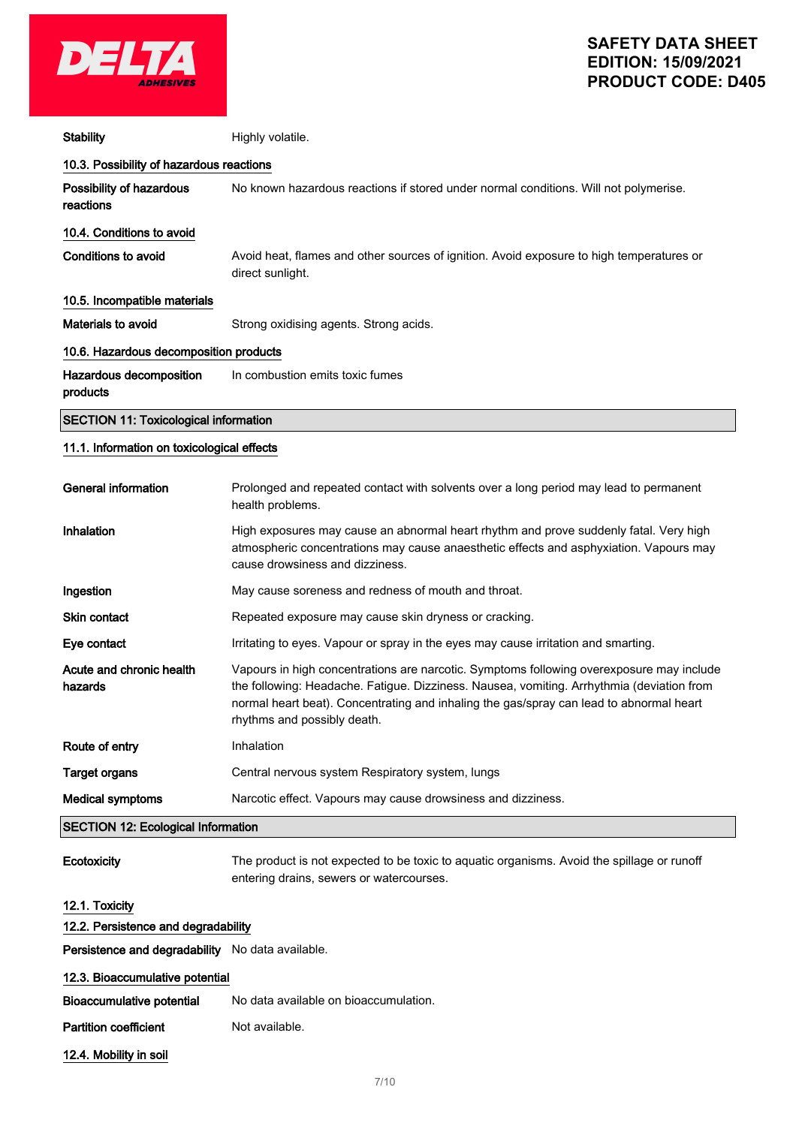

| <b>Stability</b>                                 | Highly volatile.                                                                                                                                                                                                                                                                                                |
|--------------------------------------------------|-----------------------------------------------------------------------------------------------------------------------------------------------------------------------------------------------------------------------------------------------------------------------------------------------------------------|
| 10.3. Possibility of hazardous reactions         |                                                                                                                                                                                                                                                                                                                 |
| Possibility of hazardous<br>reactions            | No known hazardous reactions if stored under normal conditions. Will not polymerise.                                                                                                                                                                                                                            |
| 10.4. Conditions to avoid                        |                                                                                                                                                                                                                                                                                                                 |
| Conditions to avoid                              | Avoid heat, flames and other sources of ignition. Avoid exposure to high temperatures or<br>direct sunlight.                                                                                                                                                                                                    |
| 10.5. Incompatible materials                     |                                                                                                                                                                                                                                                                                                                 |
| <b>Materials to avoid</b>                        | Strong oxidising agents. Strong acids.                                                                                                                                                                                                                                                                          |
| 10.6. Hazardous decomposition products           |                                                                                                                                                                                                                                                                                                                 |
| Hazardous decomposition<br>products              | In combustion emits toxic fumes                                                                                                                                                                                                                                                                                 |
| <b>SECTION 11: Toxicological information</b>     |                                                                                                                                                                                                                                                                                                                 |
| 11.1. Information on toxicological effects       |                                                                                                                                                                                                                                                                                                                 |
| <b>General information</b>                       | Prolonged and repeated contact with solvents over a long period may lead to permanent<br>health problems.                                                                                                                                                                                                       |
| Inhalation                                       | High exposures may cause an abnormal heart rhythm and prove suddenly fatal. Very high<br>atmospheric concentrations may cause anaesthetic effects and asphyxiation. Vapours may<br>cause drowsiness and dizziness.                                                                                              |
| Ingestion                                        | May cause soreness and redness of mouth and throat.                                                                                                                                                                                                                                                             |
| <b>Skin contact</b>                              | Repeated exposure may cause skin dryness or cracking.                                                                                                                                                                                                                                                           |
| Eye contact                                      | Irritating to eyes. Vapour or spray in the eyes may cause irritation and smarting.                                                                                                                                                                                                                              |
| Acute and chronic health<br>hazards              | Vapours in high concentrations are narcotic. Symptoms following overexposure may include<br>the following: Headache. Fatigue. Dizziness. Nausea, vomiting. Arrhythmia (deviation from<br>normal heart beat). Concentrating and inhaling the gas/spray can lead to abnormal heart<br>rhythms and possibly death. |
| Route of entry                                   | Inhalation                                                                                                                                                                                                                                                                                                      |
| <b>Target organs</b>                             | Central nervous system Respiratory system, lungs                                                                                                                                                                                                                                                                |
| <b>Medical symptoms</b>                          | Narcotic effect. Vapours may cause drowsiness and dizziness.                                                                                                                                                                                                                                                    |
| <b>SECTION 12: Ecological Information</b>        |                                                                                                                                                                                                                                                                                                                 |
| Ecotoxicity                                      | The product is not expected to be toxic to aquatic organisms. Avoid the spillage or runoff<br>entering drains, sewers or watercourses.                                                                                                                                                                          |
| 12.1. Toxicity                                   |                                                                                                                                                                                                                                                                                                                 |
| 12.2. Persistence and degradability              |                                                                                                                                                                                                                                                                                                                 |
| Persistence and degradability No data available. |                                                                                                                                                                                                                                                                                                                 |
| 12.3. Bioaccumulative potential                  |                                                                                                                                                                                                                                                                                                                 |
| <b>Bioaccumulative potential</b>                 | No data available on bioaccumulation.                                                                                                                                                                                                                                                                           |
| <b>Partition coefficient</b>                     | Not available.                                                                                                                                                                                                                                                                                                  |
| 12.4. Mobility in soil                           |                                                                                                                                                                                                                                                                                                                 |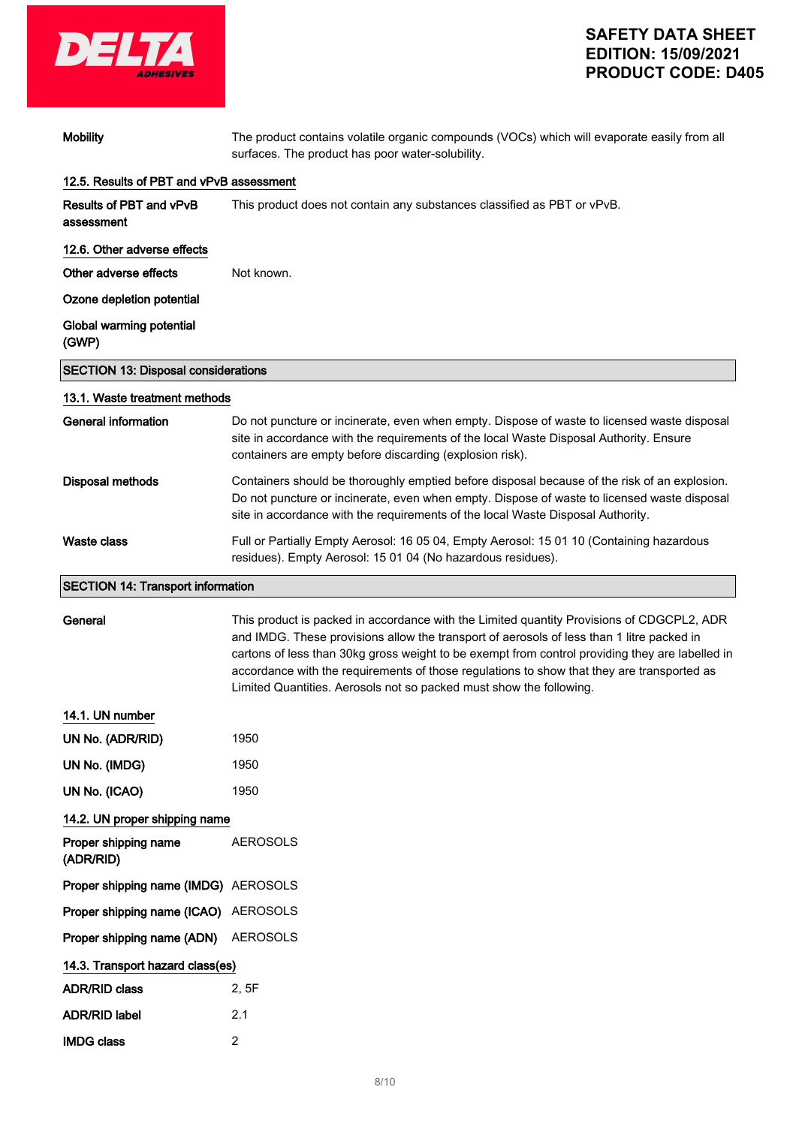

| <b>Mobility</b>                            | The product contains volatile organic compounds (VOCs) which will evaporate easily from all<br>surfaces. The product has poor water-solubility.                                                                                                                                                                                                                                                                                                                |
|--------------------------------------------|----------------------------------------------------------------------------------------------------------------------------------------------------------------------------------------------------------------------------------------------------------------------------------------------------------------------------------------------------------------------------------------------------------------------------------------------------------------|
| 12.5. Results of PBT and vPvB assessment   |                                                                                                                                                                                                                                                                                                                                                                                                                                                                |
| Results of PBT and vPvB<br>assessment      | This product does not contain any substances classified as PBT or vPvB.                                                                                                                                                                                                                                                                                                                                                                                        |
| 12.6. Other adverse effects                |                                                                                                                                                                                                                                                                                                                                                                                                                                                                |
| Other adverse effects                      | Not known.                                                                                                                                                                                                                                                                                                                                                                                                                                                     |
| Ozone depletion potential                  |                                                                                                                                                                                                                                                                                                                                                                                                                                                                |
| Global warming potential<br>(GWP)          |                                                                                                                                                                                                                                                                                                                                                                                                                                                                |
| <b>SECTION 13: Disposal considerations</b> |                                                                                                                                                                                                                                                                                                                                                                                                                                                                |
| 13.1. Waste treatment methods              |                                                                                                                                                                                                                                                                                                                                                                                                                                                                |
| <b>General information</b>                 | Do not puncture or incinerate, even when empty. Dispose of waste to licensed waste disposal<br>site in accordance with the requirements of the local Waste Disposal Authority. Ensure<br>containers are empty before discarding (explosion risk).                                                                                                                                                                                                              |
| <b>Disposal methods</b>                    | Containers should be thoroughly emptied before disposal because of the risk of an explosion.<br>Do not puncture or incinerate, even when empty. Dispose of waste to licensed waste disposal<br>site in accordance with the requirements of the local Waste Disposal Authority.                                                                                                                                                                                 |
| <b>Waste class</b>                         | Full or Partially Empty Aerosol: 16 05 04, Empty Aerosol: 15 01 10 (Containing hazardous<br>residues). Empty Aerosol: 15 01 04 (No hazardous residues).                                                                                                                                                                                                                                                                                                        |
| <b>SECTION 14: Transport information</b>   |                                                                                                                                                                                                                                                                                                                                                                                                                                                                |
| General                                    | This product is packed in accordance with the Limited quantity Provisions of CDGCPL2, ADR<br>and IMDG. These provisions allow the transport of aerosols of less than 1 litre packed in<br>cartons of less than 30kg gross weight to be exempt from control providing they are labelled in<br>accordance with the requirements of those regulations to show that they are transported as<br>Limited Quantities. Aerosols not so packed must show the following. |
| 14.1. UN number                            |                                                                                                                                                                                                                                                                                                                                                                                                                                                                |
| UN No. (ADR/RID)                           | 1950                                                                                                                                                                                                                                                                                                                                                                                                                                                           |
| UN No. (IMDG)                              | 1950                                                                                                                                                                                                                                                                                                                                                                                                                                                           |
| UN No. (ICAO)                              | 1950                                                                                                                                                                                                                                                                                                                                                                                                                                                           |
| 14.2. UN proper shipping name              |                                                                                                                                                                                                                                                                                                                                                                                                                                                                |
| Proper shipping name<br>(ADR/RID)          | <b>AEROSOLS</b>                                                                                                                                                                                                                                                                                                                                                                                                                                                |
| Proper shipping name (IMDG) AEROSOLS       |                                                                                                                                                                                                                                                                                                                                                                                                                                                                |
| Proper shipping name (ICAO) AEROSOLS       |                                                                                                                                                                                                                                                                                                                                                                                                                                                                |
| Proper shipping name (ADN)                 | <b>AEROSOLS</b>                                                                                                                                                                                                                                                                                                                                                                                                                                                |
| 14.3. Transport hazard class(es)           |                                                                                                                                                                                                                                                                                                                                                                                                                                                                |
| <b>ADR/RID class</b>                       | 2, 5F                                                                                                                                                                                                                                                                                                                                                                                                                                                          |
| <b>ADR/RID label</b>                       | 2.1                                                                                                                                                                                                                                                                                                                                                                                                                                                            |
| <b>IMDG class</b>                          | $\overline{2}$                                                                                                                                                                                                                                                                                                                                                                                                                                                 |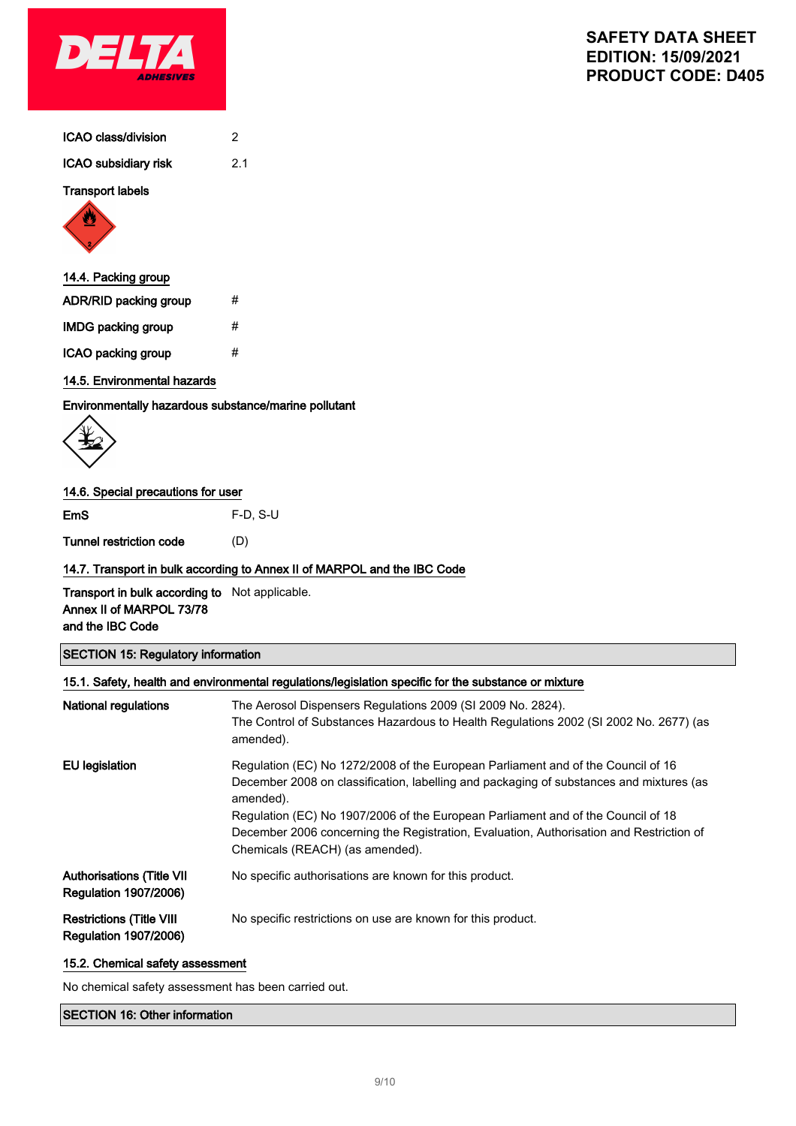

| ICAO class/division |  |
|---------------------|--|
|                     |  |

ICAO subsidiary risk 2.1

### Transport labels



## 14.4. Packing group

| <b>ADR/RID packing group</b> | # |
|------------------------------|---|
| IMDG packing group           | # |
| ICAO packing group           | # |

## 14.5. Environmental hazards

Environmentally hazardous substance/marine pollutant

## 14.6. Special precautions for user

EmS F-D, S-U

Tunnel restriction code (D)

### 14.7. Transport in bulk according to Annex II of MARPOL and the IBC Code

Transport in bulk according to Not applicable. Annex II of MARPOL 73/78 and the IBC Code

## SECTION 15: Regulatory information

| 15.1. Safety, health and environmental regulations/legislation specific for the substance or mixture |                                                                                                                                                                                                                                                                                                                                                                                                            |  |
|------------------------------------------------------------------------------------------------------|------------------------------------------------------------------------------------------------------------------------------------------------------------------------------------------------------------------------------------------------------------------------------------------------------------------------------------------------------------------------------------------------------------|--|
| <b>National regulations</b>                                                                          | The Aerosol Dispensers Regulations 2009 (SI 2009 No. 2824).<br>The Control of Substances Hazardous to Health Regulations 2002 (SI 2002 No. 2677) (as<br>amended).                                                                                                                                                                                                                                          |  |
| <b>EU</b> legislation                                                                                | Regulation (EC) No 1272/2008 of the European Parliament and of the Council of 16<br>December 2008 on classification, labelling and packaging of substances and mixtures (as<br>amended).<br>Regulation (EC) No 1907/2006 of the European Parliament and of the Council of 18<br>December 2006 concerning the Registration, Evaluation, Authorisation and Restriction of<br>Chemicals (REACH) (as amended). |  |
| <b>Authorisations (Title VII</b><br><b>Regulation 1907/2006)</b>                                     | No specific authorisations are known for this product.                                                                                                                                                                                                                                                                                                                                                     |  |
| <b>Restrictions (Title VIII</b><br><b>Regulation 1907/2006)</b>                                      | No specific restrictions on use are known for this product.                                                                                                                                                                                                                                                                                                                                                |  |

## 15.2. Chemical safety assessment

No chemical safety assessment has been carried out.

## SECTION 16: Other information